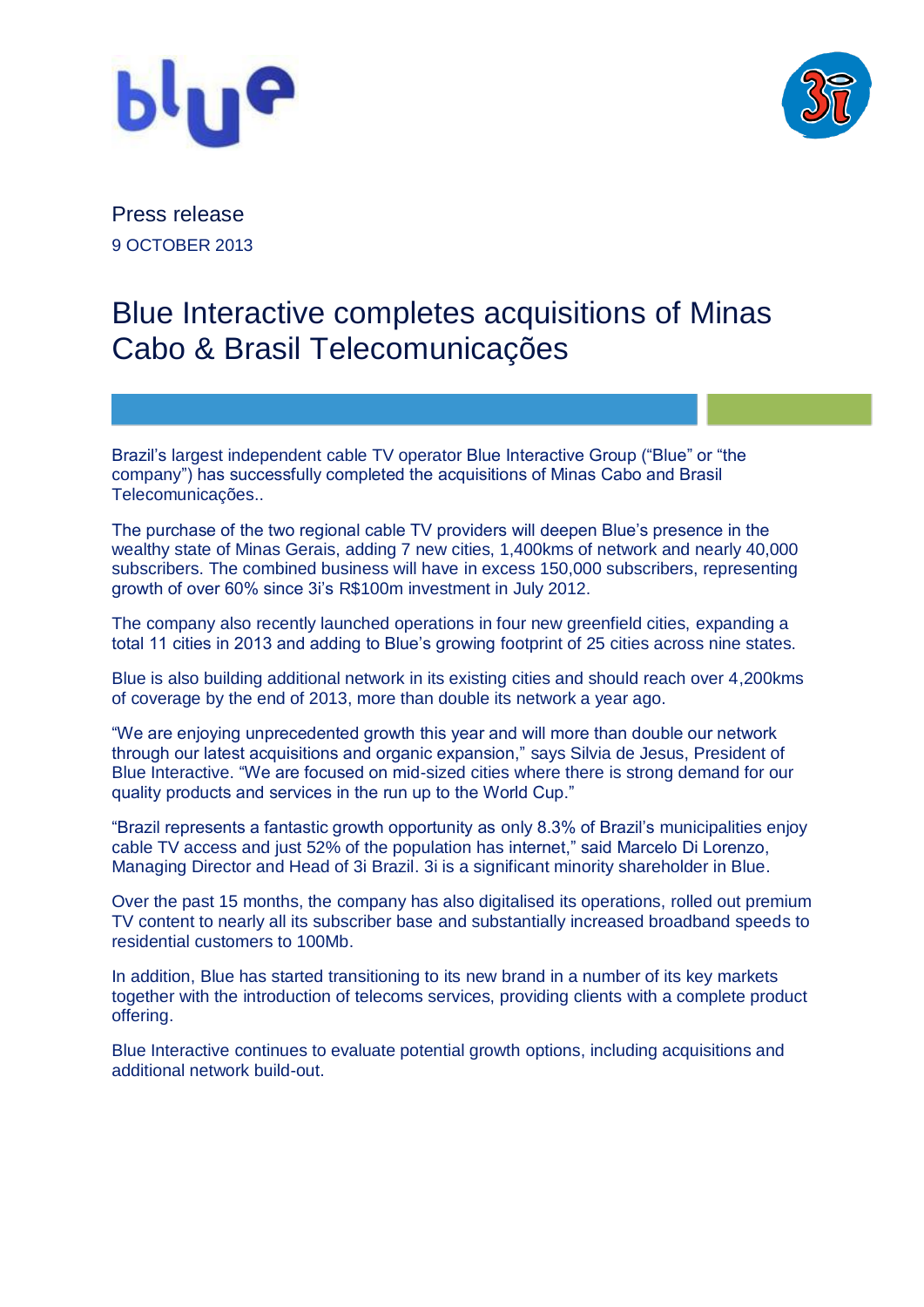



Press release 9 OCTOBER 2013

## Blue Interactive completes acquisitions of Minas Cabo & Brasil Telecomunicações

Brazil's largest independent cable TV operator Blue Interactive Group ("Blue" or "the company") has successfully completed the acquisitions of Minas Cabo and Brasil Telecomunicações..

The purchase of the two regional cable TV providers will deepen Blue's presence in the wealthy state of Minas Gerais, adding 7 new cities, 1,400kms of network and nearly 40,000 subscribers. The combined business will have in excess 150,000 subscribers, representing growth of over 60% since 3i's R\$100m investment in July 2012.

The company also recently launched operations in four new greenfield cities, expanding a total 11 cities in 2013 and adding to Blue's growing footprint of 25 cities across nine states.

Blue is also building additional network in its existing cities and should reach over 4,200kms of coverage by the end of 2013, more than double its network a year ago.

"We are enjoying unprecedented growth this year and will more than double our network through our latest acquisitions and organic expansion," says Silvia de Jesus, President of Blue Interactive. "We are focused on mid-sized cities where there is strong demand for our quality products and services in the run up to the World Cup."

"Brazil represents a fantastic growth opportunity as only 8.3% of Brazil's municipalities enjoy cable TV access and just 52% of the population has internet," said Marcelo Di Lorenzo, Managing Director and Head of 3i Brazil. 3i is a significant minority shareholder in Blue.

Over the past 15 months, the company has also digitalised its operations, rolled out premium TV content to nearly all its subscriber base and substantially increased broadband speeds to residential customers to 100Mb.

In addition, Blue has started transitioning to its new brand in a number of its key markets together with the introduction of telecoms services, providing clients with a complete product offering.

Blue Interactive continues to evaluate potential growth options, including acquisitions and additional network build-out.